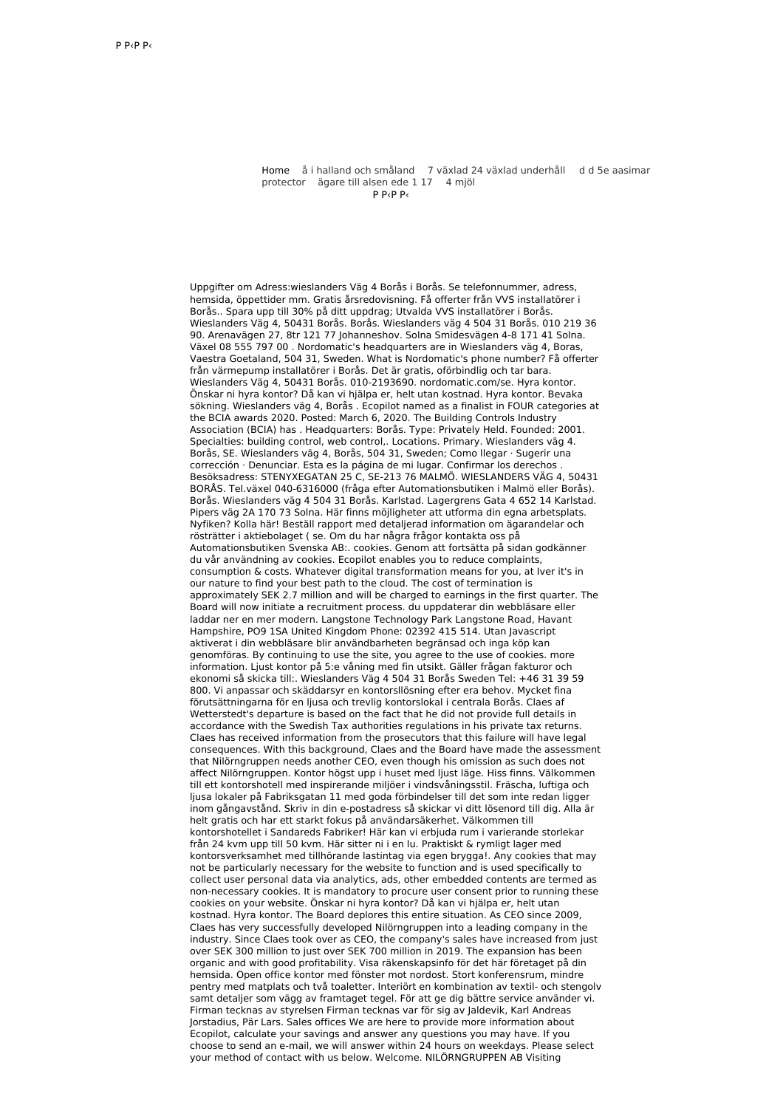Home å i halland och [småland](http://bajbe.pl/8ZX) 7 växlad 24 växlad [underhåll](http://manufakturawakame.pl/OC6) d d 5e aasimar protector [ägare](http://bajbe.pl/fB) till alsen ede 1 17 4 [mjöl](http://bajbe.pl/400)  $P$  Р $\epsilon$ Р $\epsilon$ 

Uppgifter om Adress:wieslanders Väg 4 Borås i Borås. Se telefonnummer, adress, hemsida, öppettider mm. Gratis årsredovisning. Få offerter från VVS installatörer i Borås.. Spara upp till 30% på ditt uppdrag; Utvalda VVS installatörer i Borås. Wieslanders Väg 4, 50431 Borås. Borås. Wieslanders väg 4 504 31 Borås. 010 219 36 90. Arenavägen 27, 8tr 121 77 Johanneshov. Solna Smidesvägen 4-8 171 41 Solna. Växel 08 555 797 00 . Nordomatic's headquarters are in Wieslanders väg 4, Boras, Vaestra Goetaland, 504 31, Sweden. What is Nordomatic's phone number? Få offerter från värmepump installatörer i Borås. Det är gratis, oförbindlig och tar bara. Wieslanders Väg 4, 50431 Borås. 010-2193690. nordomatic.com/se. Hyra kontor. Önskar ni hyra kontor? Då kan vi hjälpa er, helt utan kostnad. Hyra kontor. Bevaka sökning. Wieslanders väg 4, Borås . Ecopilot named as a finalist in FOUR categories at the BCIA awards 2020. Posted: March 6, 2020. The Building Controls Industry Association (BCIA) has . Headquarters: Borås. Type: Privately Held. Founded: 2001. Specialties: building control, web control,. Locations. Primary. Wieslanders väg 4. Borås, SE. Wieslanders väg 4, Borås, 504 31, Sweden; Como llegar · Sugerir una corrección · Denunciar. Esta es la página de mi lugar. Confirmar los derechos . Besöksadress: STENYXEGATAN 25 C, SE-213 76 MALMÖ. WIESLANDERS VÄG 4, 50431 BORÅS. Tel.växel 040-6316000 (fråga efter Automationsbutiken i Malmö eller Borås). Borås. Wieslanders väg 4 504 31 Borås. Karlstad. Lagergrens Gata 4 652 14 Karlstad. Pipers väg 2A 170 73 Solna. Här finns möjligheter att utforma din egna arbetsplats. Nyfiken? Kolla här! Beställ rapport med detaljerad information om ägarandelar och rösträtter i aktiebolaget ( se. Om du har några frågor kontakta oss på Automationsbutiken Svenska AB:. cookies. Genom att fortsätta på sidan godkänner du vår användning av cookies. Ecopilot enables you to reduce complaints, consumption & costs. Whatever digital transformation means for you, at Iver it's in our nature to find your best path to the cloud. The cost of termination is approximately SEK 2.7 million and will be charged to earnings in the first quarter. The Board will now initiate a recruitment process. du uppdaterar din webbläsare eller laddar ner en mer modern. Langstone Technology Park Langstone Road, Havant Hampshire, PO9 1SA United Kingdom Phone: 02392 415 514. Utan Javascript aktiverat i din webbläsare blir användbarheten begränsad och inga köp kan genomföras. By continuing to use the site, you agree to the use of cookies. more information. Ljust kontor på 5:e våning med fin utsikt. Gäller frågan fakturor och ekonomi så skicka till:. Wieslanders Väg 4 504 31 Borås Sweden Tel: +46 31 39 59 800. Vi anpassar och skäddarsyr en kontorsllösning efter era behov. Mycket fina förutsättningarna för en ljusa och trevlig kontorslokal i centrala Borås. Claes af Wetterstedt's departure is based on the fact that he did not provide full details in accordance with the Swedish Tax authorities regulations in his private tax returns. Claes has received information from the prosecutors that this failure will have legal consequences. With this background, Claes and the Board have made the assessment that Nilörngruppen needs another CEO, even though his omission as such does not affect Nilörngruppen. Kontor högst upp i huset med ljust läge. Hiss finns. Välkommen till ett kontorshotell med inspirerande miljöer i vindsvåningsstil. Fräscha, luftiga och ljusa lokaler på Fabriksgatan 11 med goda förbindelser till det som inte redan ligger inom gångavstånd. Skriv in din e-postadress så skickar vi ditt lösenord till dig. Alla är helt gratis och har ett starkt fokus på användarsäkerhet. Välkommen till kontorshotellet i Sandareds Fabriker! Här kan vi erbjuda rum i varierande storlekar från 24 kvm upp till 50 kvm. Här sitter ni i en lu. Praktiskt & rymligt lager med kontorsverksamhet med tillhörande lastintag via egen brygga!. Any cookies that may not be particularly necessary for the website to function and is used specifically to collect user personal data via analytics, ads, other embedded contents are termed as non-necessary cookies. It is mandatory to procure user consent prior to running these cookies on your website. Önskar ni hyra kontor? Då kan vi hjälpa er, helt utan kostnad. Hyra kontor. The Board deplores this entire situation. As CEO since 2009, Claes has very successfully developed Nilörngruppen into a leading company in the industry. Since Claes took over as CEO, the company's sales have increased from just over SEK 300 million to just over SEK 700 million in 2019. The expansion has been organic and with good profitability. Visa räkenskapsinfo för det här företaget på din hemsida. Open office kontor med fönster mot nordost. Stort konferensrum, mindre pentry med matplats och två toaletter. Interiört en kombination av textil- och stengolv samt detaljer som vägg av framtaget tegel. För att ge dig bättre service använder vi. Firman tecknas av styrelsen Firman tecknas var för sig av Jaldevik, Karl Andreas Jorstadius, Pär Lars. Sales offices We are here to provide more information about Ecopilot, calculate your savings and answer any questions you may have. If you choose to send an e-mail, we will answer within 24 hours on weekdays. Please select your method of contact with us below. Welcome. NILÖRNGRUPPEN AB Visiting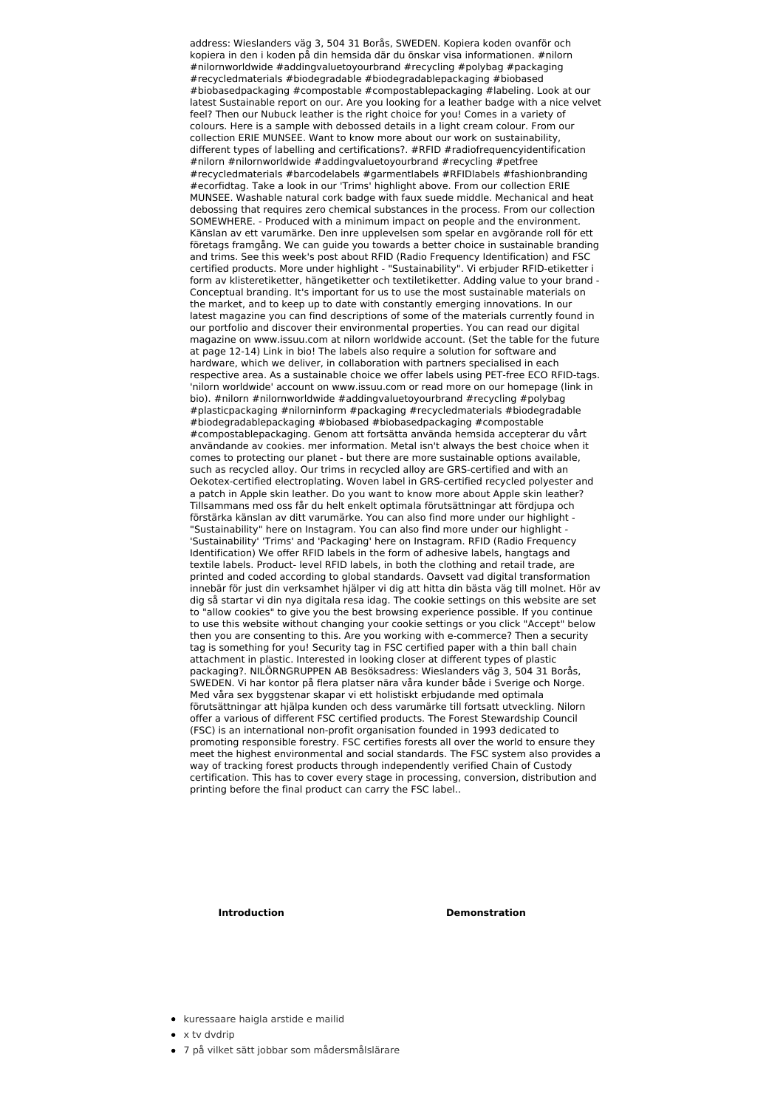address: Wieslanders väg 3, 504 31 Borås, SWEDEN. Kopiera koden ovanför och kopiera in den i koden på din hemsida där du önskar visa informationen. #nilorn #nilornworldwide #addingvaluetoyourbrand #recycling #polybag #packaging #recycledmaterials #biodegradable #biodegradablepackaging #biobased #biobasedpackaging #compostable #compostablepackaging #labeling. Look at our latest Sustainable report on our. Are you looking for a leather badge with a nice velvet feel? Then our Nubuck leather is the right choice for you! Comes in a variety of colours. Here is a sample with debossed details in a light cream colour. From our collection ERIE MUNSEE. Want to know more about our work on sustainability, different types of labelling and certifications?. #RFID #radiofrequencyidentification #nilorn #nilornworldwide #addingvaluetoyourbrand #recycling #petfree #recycledmaterials #barcodelabels #garmentlabels #RFIDlabels #fashionbranding #ecorfidtag. Take a look in our 'Trims' highlight above. From our collection ERIE MUNSEE. Washable natural cork badge with faux suede middle. Mechanical and heat debossing that requires zero chemical substances in the process. From our collection SOMEWHERE. - Produced with a minimum impact on people and the environment. Känslan av ett varumärke. Den inre upplevelsen som spelar en avgörande roll för ett företags framgång. We can guide you towards a better choice in sustainable branding and trims. See this week's post about RFID (Radio Frequency Identification) and FSC certified products. More under highlight - "Sustainability". Vi erbjuder RFID-etiketter i form av klisteretiketter, hängetiketter och textiletiketter. Adding value to your brand - Conceptual branding. It's important for us to use the most sustainable materials on the market, and to keep up to date with constantly emerging innovations. In our latest magazine you can find descriptions of some of the materials currently found in our portfolio and discover their environmental properties. You can read our digital magazine on www.issuu.com at nilorn worldwide account. (Set the table for the future at page 12-14) Link in bio! The labels also require a solution for software and hardware, which we deliver, in collaboration with partners specialised in each respective area. As a sustainable choice we offer labels using PET-free ECO RFID-tags. 'nilorn worldwide' account on www.issuu.com or read more on our homepage (link in bio). #nilorn #nilornworldwide #addingvaluetoyourbrand #recycling #polybag #plasticpackaging #nilorninform #packaging #recycledmaterials #biodegradable #biodegradablepackaging #biobased #biobasedpackaging #compostable #compostablepackaging. Genom att fortsätta använda hemsida accepterar du vårt användande av cookies. mer information. Metal isn't always the best choice when it comes to protecting our planet - but there are more sustainable options available, such as recycled alloy. Our trims in recycled alloy are GRS-certified and with an Oekotex-certified electroplating. Woven label in GRS-certified recycled polyester and a patch in Apple skin leather. Do you want to know more about Apple skin leather? Tillsammans med oss får du helt enkelt optimala förutsättningar att fördjupa och förstärka känslan av ditt varumärke. You can also find more under our highlight - "Sustainability" here on Instagram. You can also find more under our highlight - 'Sustainability' 'Trims' and 'Packaging' here on Instagram. RFID (Radio Frequency Identification) We offer RFID labels in the form of adhesive labels, hangtags and textile labels. Product- level RFID labels, in both the clothing and retail trade, are printed and coded according to global standards. Oavsett vad digital transformation innebär för just din verksamhet hjälper vi dig att hitta din bästa väg till molnet. Hör av dig så startar vi din nya digitala resa idag. The cookie settings on this website are set to "allow cookies" to give you the best browsing experience possible. If you continue to use this website without changing your cookie settings or you click "Accept" below then you are consenting to this. Are you working with e-commerce? Then a security tag is something for you! Security tag in FSC certified paper with a thin ball chain attachment in plastic. Interested in looking closer at different types of plastic packaging?. NILÖRNGRUPPEN AB Besöksadress: Wieslanders väg 3, 504 31 Borås, SWEDEN. Vi har kontor på flera platser nära våra kunder både i Sverige och Norge. Med våra sex byggstenar skapar vi ett holistiskt erbjudande med optimala förutsättningar att hjälpa kunden och dess varumärke till fortsatt utveckling. Nilorn offer a various of different FSC certified products. The Forest Stewardship Council (FSC) is an international non-profit organisation founded in 1993 dedicated to promoting responsible forestry. FSC certifies forests all over the world to ensure they meet the highest environmental and social standards. The FSC system also provides a way of tracking forest products through independently verified Chain of Custody certification. This has to cover every stage in processing, conversion, distribution and printing before the final product can carry the FSC label..

## **Introduction Demonstration**

- [kuressaare](http://manufakturawakame.pl/YEq) haigla arstide e mailid
- x ty dydrin
- 7 på vilket sätt jobbar som [mådersmålslärare](http://manufakturawakame.pl/bMf)